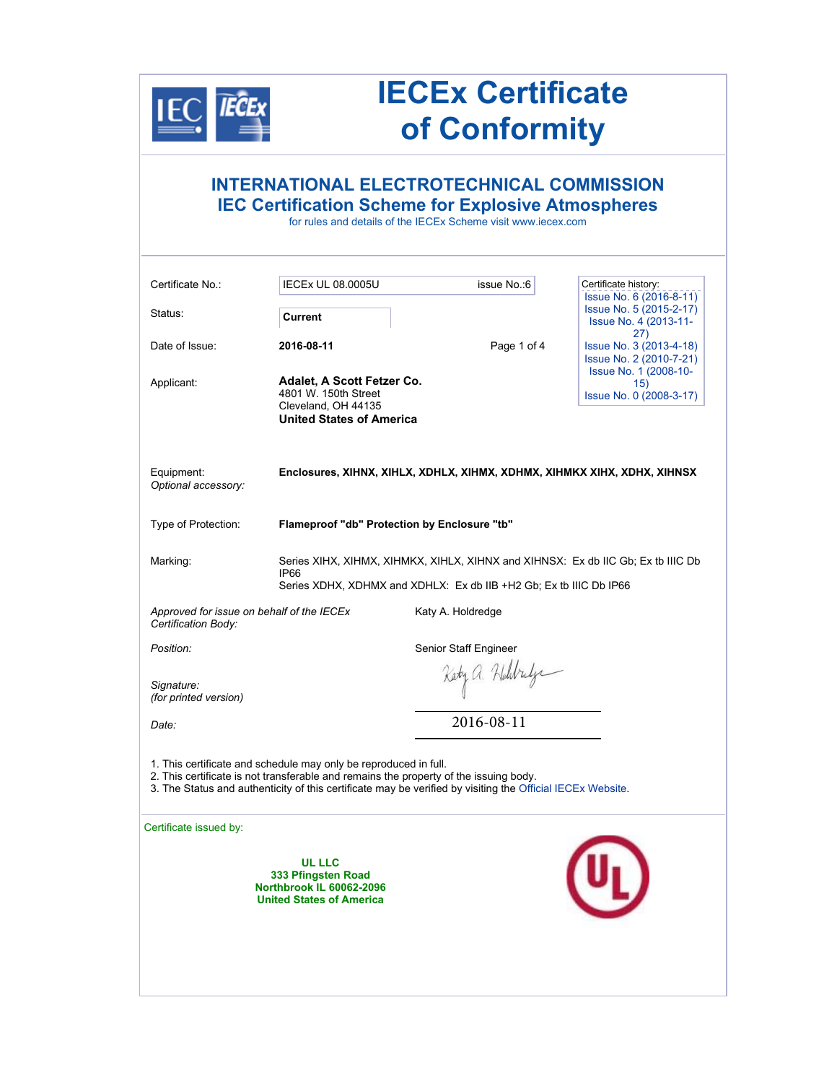

## **IECEx Certificate of Conformity**

### **INTERNATIONAL ELECTROTECHNICAL COMMISSION IEC Certification Scheme for Explosive Atmospheres**

for rules and details of the IECEx Scheme visit www.iecex.com

| Issue No. 6 (2016-8-11)<br>Issue No. 5 (2015-2-17)<br>Status:<br>Current<br>Issue No. 4 (2013-11-<br>27)<br>Date of Issue:<br>2016-08-11<br>Page 1 of 4<br>Issue No. 3 (2013-4-18)<br>Issue No. 2 (2010-7-21)<br>Issue No. 1 (2008-10-<br>Adalet, A Scott Fetzer Co.<br>Applicant:<br>15)<br>4801 W. 150th Street<br>Issue No. 0 (2008-3-17)<br>Cleveland. OH 44135<br><b>United States of America</b><br>Equipment:<br>Enclosures, XIHNX, XIHLX, XDHLX, XIHMX, XDHMX, XIHMKX XIHX, XDHX, XIHNSX<br>Optional accessory:<br>Type of Protection:<br>Flameproof "db" Protection by Enclosure "tb"<br>Series XIHX, XIHMX, XIHMKX, XIHLX, XIHNX and XIHNSX: Ex db IIC Gb; Ex tb IIIC Db<br>Marking:<br><b>IP66</b><br>Series XDHX, XDHMX and XDHLX: Ex db IIB +H2 Gb; Ex tb IIIC Db IP66<br>Approved for issue on behalf of the IECEx<br>Katy A. Holdredge<br>Certification Body:<br>Position:<br>Senior Staff Engineer<br>Kety a. Holdridge<br>Signature:<br>(for printed version)<br>2016-08-11<br>Date:<br>1. This certificate and schedule may only be reproduced in full.<br>2. This certificate is not transferable and remains the property of the issuing body.<br>3. The Status and authenticity of this certificate may be verified by visiting the Official IECEx Website.<br>Certificate issued by:<br>UL LLC<br>333 Pfingsten Road<br>Northbrook IL 60062-2096<br><b>United States of America</b> | Certificate No.: | <b>IECEx UL 08.0005U</b> | issue No.:6 | Certificate history: |
|-----------------------------------------------------------------------------------------------------------------------------------------------------------------------------------------------------------------------------------------------------------------------------------------------------------------------------------------------------------------------------------------------------------------------------------------------------------------------------------------------------------------------------------------------------------------------------------------------------------------------------------------------------------------------------------------------------------------------------------------------------------------------------------------------------------------------------------------------------------------------------------------------------------------------------------------------------------------------------------------------------------------------------------------------------------------------------------------------------------------------------------------------------------------------------------------------------------------------------------------------------------------------------------------------------------------------------------------------------------------------------------------------------------|------------------|--------------------------|-------------|----------------------|
|                                                                                                                                                                                                                                                                                                                                                                                                                                                                                                                                                                                                                                                                                                                                                                                                                                                                                                                                                                                                                                                                                                                                                                                                                                                                                                                                                                                                           |                  |                          |             |                      |
|                                                                                                                                                                                                                                                                                                                                                                                                                                                                                                                                                                                                                                                                                                                                                                                                                                                                                                                                                                                                                                                                                                                                                                                                                                                                                                                                                                                                           |                  |                          |             |                      |
|                                                                                                                                                                                                                                                                                                                                                                                                                                                                                                                                                                                                                                                                                                                                                                                                                                                                                                                                                                                                                                                                                                                                                                                                                                                                                                                                                                                                           |                  |                          |             |                      |
|                                                                                                                                                                                                                                                                                                                                                                                                                                                                                                                                                                                                                                                                                                                                                                                                                                                                                                                                                                                                                                                                                                                                                                                                                                                                                                                                                                                                           |                  |                          |             |                      |
|                                                                                                                                                                                                                                                                                                                                                                                                                                                                                                                                                                                                                                                                                                                                                                                                                                                                                                                                                                                                                                                                                                                                                                                                                                                                                                                                                                                                           |                  |                          |             |                      |
|                                                                                                                                                                                                                                                                                                                                                                                                                                                                                                                                                                                                                                                                                                                                                                                                                                                                                                                                                                                                                                                                                                                                                                                                                                                                                                                                                                                                           |                  |                          |             |                      |
|                                                                                                                                                                                                                                                                                                                                                                                                                                                                                                                                                                                                                                                                                                                                                                                                                                                                                                                                                                                                                                                                                                                                                                                                                                                                                                                                                                                                           |                  |                          |             |                      |
|                                                                                                                                                                                                                                                                                                                                                                                                                                                                                                                                                                                                                                                                                                                                                                                                                                                                                                                                                                                                                                                                                                                                                                                                                                                                                                                                                                                                           |                  |                          |             |                      |
|                                                                                                                                                                                                                                                                                                                                                                                                                                                                                                                                                                                                                                                                                                                                                                                                                                                                                                                                                                                                                                                                                                                                                                                                                                                                                                                                                                                                           |                  |                          |             |                      |
|                                                                                                                                                                                                                                                                                                                                                                                                                                                                                                                                                                                                                                                                                                                                                                                                                                                                                                                                                                                                                                                                                                                                                                                                                                                                                                                                                                                                           |                  |                          |             |                      |
|                                                                                                                                                                                                                                                                                                                                                                                                                                                                                                                                                                                                                                                                                                                                                                                                                                                                                                                                                                                                                                                                                                                                                                                                                                                                                                                                                                                                           |                  |                          |             |                      |
|                                                                                                                                                                                                                                                                                                                                                                                                                                                                                                                                                                                                                                                                                                                                                                                                                                                                                                                                                                                                                                                                                                                                                                                                                                                                                                                                                                                                           |                  |                          |             |                      |
|                                                                                                                                                                                                                                                                                                                                                                                                                                                                                                                                                                                                                                                                                                                                                                                                                                                                                                                                                                                                                                                                                                                                                                                                                                                                                                                                                                                                           |                  |                          |             |                      |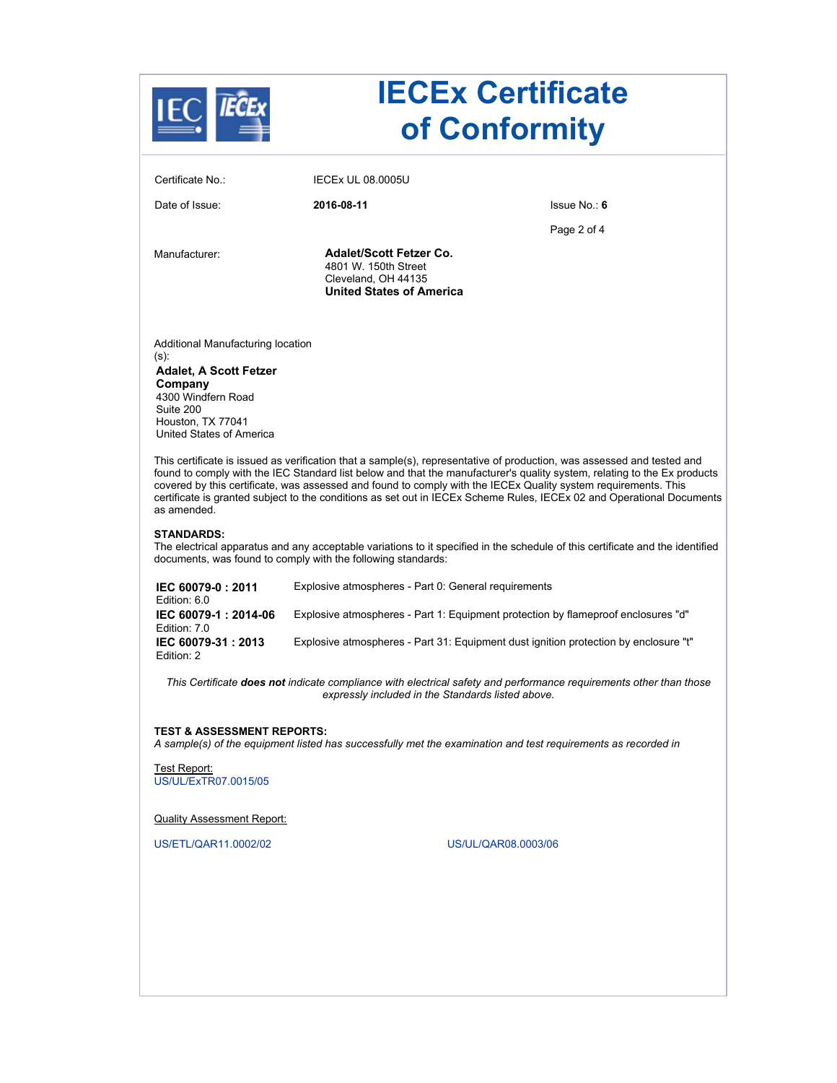

# **IECEx Certificate of Conformity**

| Certificate No.:                                                                                                                                                                                                                                                                                                                                                                                                                                                                                             | <b>IECEX UL 08,0005U</b>                                                                                         |              |  |  |
|--------------------------------------------------------------------------------------------------------------------------------------------------------------------------------------------------------------------------------------------------------------------------------------------------------------------------------------------------------------------------------------------------------------------------------------------------------------------------------------------------------------|------------------------------------------------------------------------------------------------------------------|--------------|--|--|
| Date of Issue:                                                                                                                                                                                                                                                                                                                                                                                                                                                                                               | 2016-08-11                                                                                                       | Issue No.: 6 |  |  |
|                                                                                                                                                                                                                                                                                                                                                                                                                                                                                                              |                                                                                                                  | Page 2 of 4  |  |  |
| Manufacturer:                                                                                                                                                                                                                                                                                                                                                                                                                                                                                                | <b>Adalet/Scott Fetzer Co.</b><br>4801 W. 150th Street<br>Cleveland, OH 44135<br><b>United States of America</b> |              |  |  |
| Additional Manufacturing location<br>(s)<br><b>Adalet, A Scott Fetzer</b><br>Company<br>4300 Windfern Road<br>Suite 200<br>Houston, TX 77041<br>United States of America                                                                                                                                                                                                                                                                                                                                     |                                                                                                                  |              |  |  |
| This certificate is issued as verification that a sample(s), representative of production, was assessed and tested and<br>found to comply with the IEC Standard list below and that the manufacturer's quality system, relating to the Ex products<br>covered by this certificate, was assessed and found to comply with the IECEx Quality system requirements. This<br>certificate is granted subject to the conditions as set out in IECEx Scheme Rules, IECEx 02 and Operational Documents<br>as amended. |                                                                                                                  |              |  |  |
| <b>STANDARDS:</b><br>The electrical apparatus and any acceptable variations to it specified in the schedule of this certificate and the identified<br>documents, was found to comply with the following standards:                                                                                                                                                                                                                                                                                           |                                                                                                                  |              |  |  |

| IEC 60079-0: 2011<br>Edition: 6.0    | Explosive atmospheres - Part 0: General requirements                                 |
|--------------------------------------|--------------------------------------------------------------------------------------|
| IEC 60079-1: 2014-06<br>Edition: 7.0 | Explosive atmospheres - Part 1: Equipment protection by flameproof enclosures "d"    |
| IEC 60079-31: 2013<br>Edition: 2     | Explosive atmospheres - Part 31: Equipment dust ignition protection by enclosure "t" |

*This Certificate does not indicate compliance with electrical safety and performance requirements other than those expressly included in the Standards listed above.*

#### **TEST & ASSESSMENT REPORTS:**

*A sample(s) of the equipment listed has successfully met the examination and test requirements as recorded in* 

Test Report: US/UL/ExTR07.0015/05

Quality Assessment Report:

US/ETL/QAR11.0002/02 US/UL/QAR08.0003/06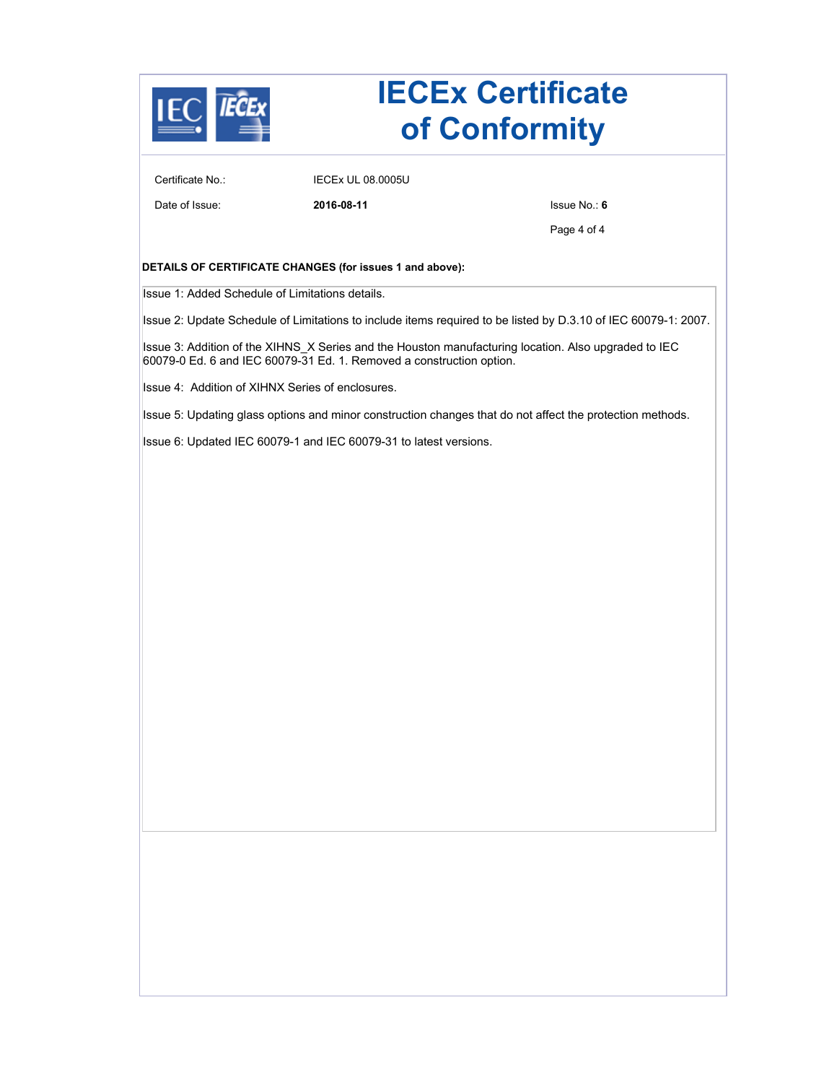

### **IECEx Certificate of Conformity**

Certificate No.: IECEx UL 08.0005U

Date of Issue: **2016-08-11** Issue No.: **6**

Page 4 of 4

#### **DETAILS OF CERTIFICATE CHANGES (for issues 1 and above):**

Issue 1: Added Schedule of Limitations details.

Issue 2: Update Schedule of Limitations to include items required to be listed by D.3.10 of IEC 60079-1: 2007.

Issue 3: Addition of the XIHNS\_X Series and the Houston manufacturing location. Also upgraded to IEC 60079-0 Ed. 6 and IEC 60079-31 Ed. 1. Removed a construction option.

Issue 4: Addition of XIHNX Series of enclosures.

Issue 5: Updating glass options and minor construction changes that do not affect the protection methods.

Issue 6: Updated IEC 60079-1 and IEC 60079-31 to latest versions.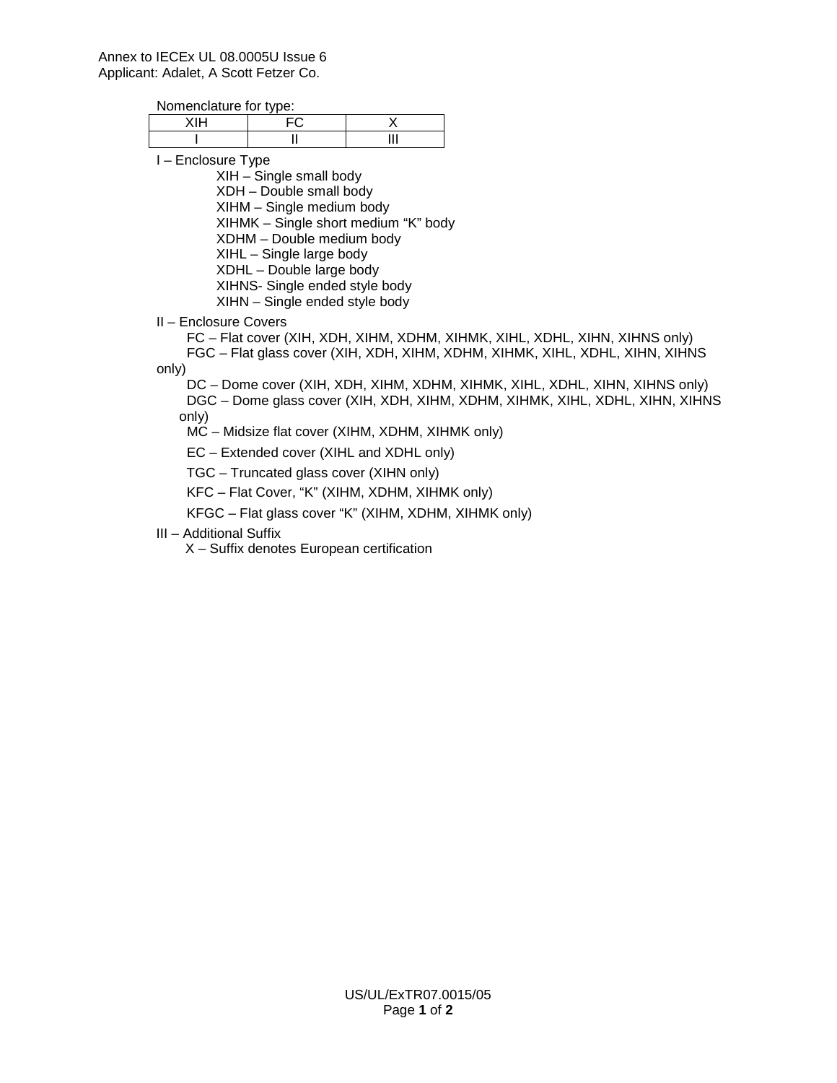#### Annex to IECEx UL 08.0005U Issue 6 Applicant: Adalet, A Scott Fetzer Co.

Nomenclature for type:

I – Enclosure Type

XIH – Single small body XDH – Double small body XIHM – Single medium body XIHMK – Single short medium "K" body XDHM – Double medium body XIHL – Single large body XDHL – Double large body XIHNS- Single ended style body XIHN – Single ended style body

II – Enclosure Covers

 FC – Flat cover (XIH, XDH, XIHM, XDHM, XIHMK, XIHL, XDHL, XIHN, XIHNS only) FGC – Flat glass cover (XIH, XDH, XIHM, XDHM, XIHMK, XIHL, XDHL, XIHN, XIHNS only)

 DC – Dome cover (XIH, XDH, XIHM, XDHM, XIHMK, XIHL, XDHL, XIHN, XIHNS only) DGC – Dome glass cover (XIH, XDH, XIHM, XDHM, XIHMK, XIHL, XDHL, XIHN, XIHNS only)

MC – Midsize flat cover (XIHM, XDHM, XIHMK only)

EC – Extended cover (XIHL and XDHL only)

TGC – Truncated glass cover (XIHN only)

KFC – Flat Cover, "K" (XIHM, XDHM, XIHMK only)

KFGC – Flat glass cover "K" (XIHM, XDHM, XIHMK only)

III – Additional Suffix

X – Suffix denotes European certification